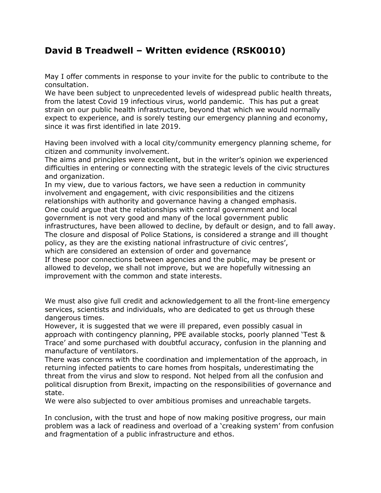## **David B Treadwell – Written evidence (RSK0010)**

May I offer comments in response to your invite for the public to contribute to the consultation.

We have been subject to unprecedented levels of widespread public health threats, from the latest Covid 19 infectious virus, world pandemic. This has put a great strain on our public health infrastructure, beyond that which we would normally expect to experience, and is sorely testing our emergency planning and economy, since it was first identified in late 2019.

Having been involved with a local city/community emergency planning scheme, for citizen and community involvement.

The aims and principles were excellent, but in the writer's opinion we experienced difficulties in entering or connecting with the strategic levels of the civic structures and organization.

In my view, due to various factors, we have seen a reduction in community involvement and engagement, with civic responsibilities and the citizens relationships with authority and governance having a changed emphasis. One could argue that the relationships with central government and local government is not very good and many of the local government public infrastructures, have been allowed to decline, by default or design, and to fall away. The closure and disposal of Police Stations, is considered a strange and ill thought

policy, as they are the existing national infrastructure of civic centres',

which are considered an extension of order and governance

If these poor connections between agencies and the public, may be present or allowed to develop, we shall not improve, but we are hopefully witnessing an improvement with the common and state interests.

We must also give full credit and acknowledgement to all the front-line emergency services, scientists and individuals, who are dedicated to get us through these dangerous times.

However, it is suggested that we were ill prepared, even possibly casual in approach with contingency planning, PPE available stocks, poorly planned 'Test & Trace' and some purchased with doubtful accuracy, confusion in the planning and manufacture of ventilators.

There was concerns with the coordination and implementation of the approach, in returning infected patients to care homes from hospitals, underestimating the threat from the virus and slow to respond. Not helped from all the confusion and political disruption from Brexit, impacting on the responsibilities of governance and state.

We were also subjected to over ambitious promises and unreachable targets.

In conclusion, with the trust and hope of now making positive progress, our main problem was a lack of readiness and overload of a 'creaking system' from confusion and fragmentation of a public infrastructure and ethos.